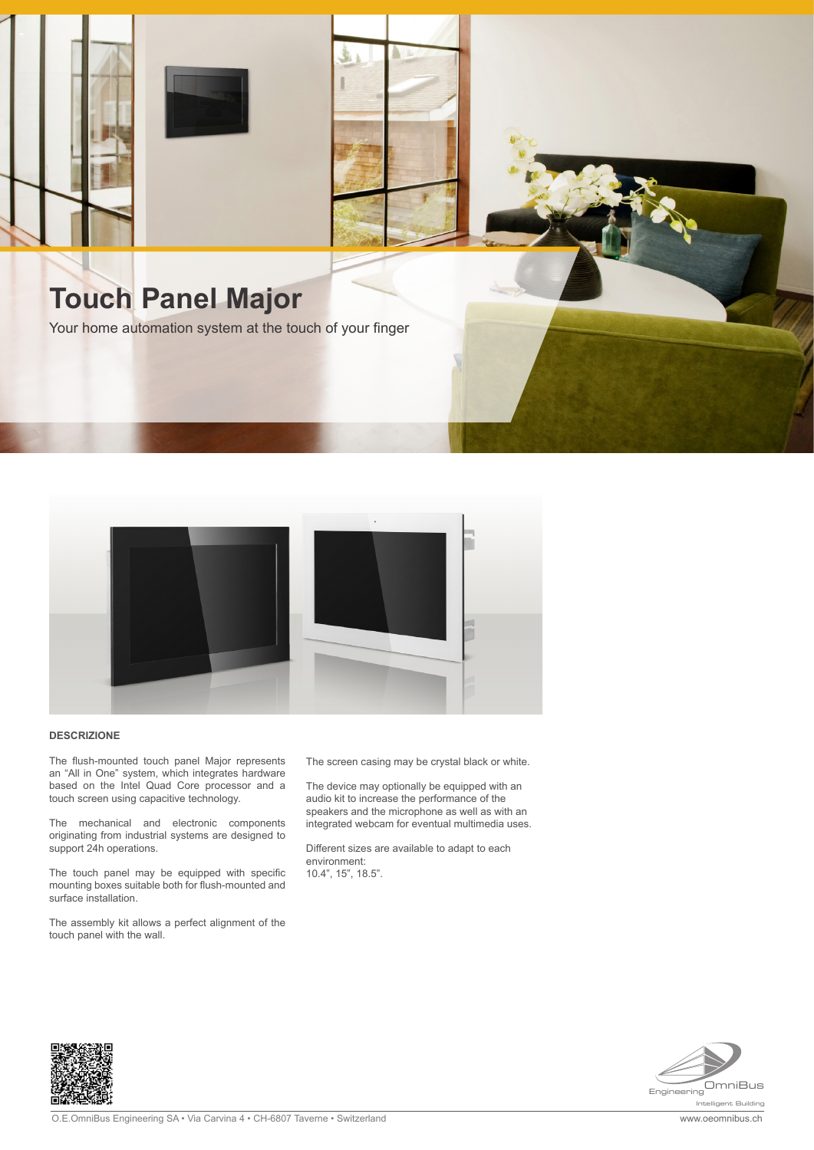



## **DESCRIZIONE**

The flush-mounted touch panel Major represents an "All in One" system, which integrates hardware based on the Intel Quad Core processor and a touch screen using capacitive technology.

The mechanical and electronic components originating from industrial systems are designed to support 24h operations.

The touch panel may be equipped with specific mounting boxes suitable both for flush-mounted and surface installation.

The assembly kit allows a perfect alignment of the touch panel with the wall.

The screen casing may be crystal black or white.

The device may optionally be equipped with an audio kit to increase the performance of the speakers and the microphone as well as with an integrated webcam for eventual multimedia uses.

Different sizes are available to adapt to each environment: 10.4", 15", 18.5".